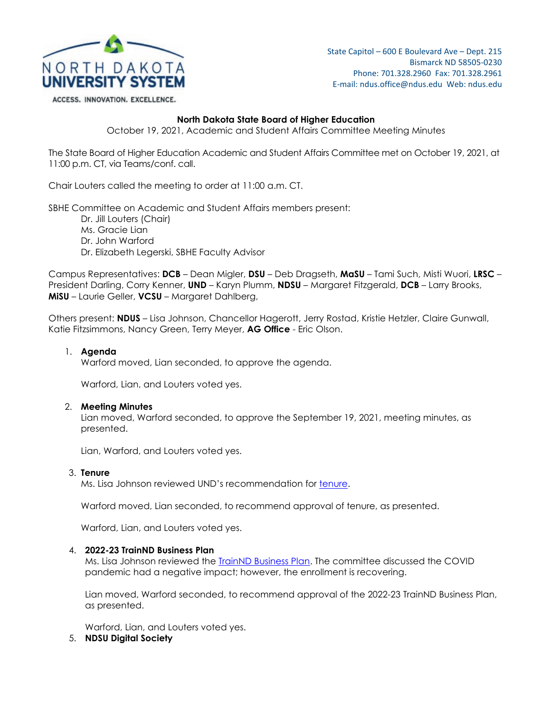

State Capitol – 600 E Boulevard Ave – Dept. 215 Bismarck ND 58505-0230 Phone: 701.328.2960 Fax: 701.328.2961 E-mail: ndus.office@ndus.edu Web: ndus.edu

ACCESS. INNOVATION. EXCELLENCE.

# **North Dakota State Board of Higher Education**

October 19, 2021, Academic and Student Affairs Committee Meeting Minutes

The State Board of Higher Education Academic and Student Affairs Committee met on October 19, 2021, at 11:00 p.m. CT, via Teams/conf. call.

Chair Louters called the meeting to order at 11:00 a.m. CT.

SBHE Committee on Academic and Student Affairs members present:

Dr. Jill Louters (Chair) Ms. Gracie Lian Dr. John Warford Dr. Elizabeth Legerski, SBHE Faculty Advisor

Campus Representatives: **DCB** – Dean Migler, **DSU** – Deb Dragseth, **MaSU** – Tami Such, Misti Wuori, **LRSC** – President Darling, Corry Kenner, **UND** – Karyn Plumm, **NDSU** – Margaret Fitzgerald, **DCB** – Larry Brooks, **MiSU** – Laurie Geller, **VCSU** – Margaret Dahlberg,

Others present: **NDUS** – Lisa Johnson, Chancellor Hagerott, Jerry Rostad, Kristie Hetzler, Claire Gunwall, Katie Fitzsimmons, Nancy Green, Terry Meyer, **AG Office** - Eric Olson.

# 1. **Agenda**

Warford moved, Lian seconded, to approve the agenda.

Warford, Lian, and Louters voted yes.

#### 2. **Meeting Minutes**

Lian moved, Warford seconded, to approve the September 19, 2021, meeting minutes, as presented.

Lian, Warford, and Louters voted yes.

#### 3. **Tenure**

Ms. Lisa Johnson reviewed UND's recommendation for [tenure.](https://ndusbpos.sharepoint.com/:b:/s/NDUSSBHE/Ed4P6Qg-y8VHtlc1BkzM0oABylM0L_xBeq1OI4b17WJagg?e=Tk838y)

Warford moved, Lian seconded, to recommend approval of tenure, as presented.

Warford, Lian, and Louters voted yes.

# 4. **2022-23 TrainND Business Plan**

Ms. Lisa Johnson reviewed the [TrainND Business Plan.](https://ndusbpos.sharepoint.com/:b:/s/NDUSSBHE/EURhNzfaXo9OkQnkuXEYjXQBIpyVq6dEyuLhY5ZFxSB8Aw?e=nJIICE) The committee discussed the COVID pandemic had a negative impact; however, the enrollment is recovering.

Lian moved, Warford seconded, to recommend approval of the 2022-23 TrainND Business Plan, as presented.

Warford, Lian, and Louters voted yes.

5. **NDSU Digital Society**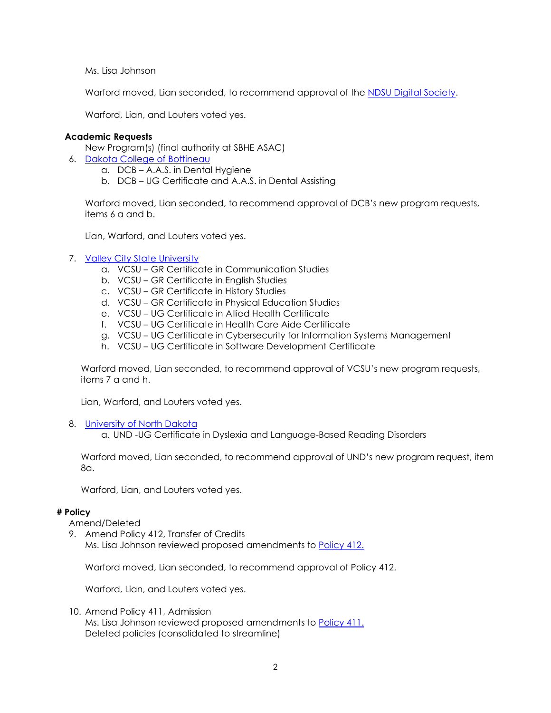Ms. Lisa Johnson

Warford moved, Lian seconded, to recommend approval of the [NDSU Digital Society.](https://ndusbpos.sharepoint.com/:b:/s/NDUSSBHE/EXY1R645Vx9ApI6K8qyp1kwBUdZqQB4_0RGJ5oPE0h4GaA?e=gh8iqj)

Warford, Lian, and Louters voted yes.

### **Academic Requests**

New Program(s) (final authority at SBHE ASAC)

- 6. [Dakota College of Bottineau](https://ndusbpos.sharepoint.com/:b:/s/NDUSSBHE/EbsXfzHr8IFHidU2aBlCP4IB8-4RCPD0vJpM7ZPGL0koLw?e=bFMbO7)
	- a. DCB A.A.S. in Dental Hygiene
	- b. DCB UG Certificate and A.A.S. in Dental Assisting

Warford moved, Lian seconded, to recommend approval of DCB's new program requests, items 6 a and b.

Lian, Warford, and Louters voted yes.

### 7. [Valley City State University](https://ndusbpos.sharepoint.com/:b:/s/NDUSSBHE/EdTvynfSaPFAt23J5wNsjLsBnAM9NZQ4EsAmUcz6MFqDNA?e=WnDjdJ)

- a. VCSU GR Certificate in Communication Studies
- b. VCSU GR Certificate in English Studies
- c. VCSU GR Certificate in History Studies
- d. VCSU GR Certificate in Physical Education Studies
- e. VCSU UG Certificate in Allied Health Certificate
- f. VCSU UG Certificate in Health Care Aide Certificate
- g. VCSU UG Certificate in Cybersecurity for Information Systems Management
- h. VCSU UG Certificate in Software Development Certificate

Warford moved, Lian seconded, to recommend approval of VCSU's new program requests, items 7 a and h.

Lian, Warford, and Louters voted yes.

8. [University of North Dakota](https://ndusbpos.sharepoint.com/:b:/s/NDUSSBHE/EWd7HkNOIsZEmwk58AeOSsYBUrzaGno_TW0d0sxvoeLdyQ?e=MvFoaQ)

a. UND -UG Certificate in Dyslexia and Language-Based Reading Disorders

Warford moved, Lian seconded, to recommend approval of UND's new program request, item 8a.

Warford, Lian, and Louters voted yes.

### **# Policy**

Amend/Deleted

9. Amend Policy 412, Transfer of Credits Ms. Lisa Johnson reviewed proposed amendments to **Policy 412.** 

Warford moved, Lian seconded, to recommend approval of Policy 412.

Warford, Lian, and Louters voted yes.

10. Amend Policy 411, Admission

Ms. Lisa Johnson reviewed proposed amendments to [Policy 411.](https://ndusbpos.sharepoint.com/:b:/s/NDUSSBHE/EaBTh1V1991KsJuX-V6B_NQBe6CaRjhmdgrjtFCQlItZsQ?e=d3G3Of) Deleted policies (consolidated to streamline)